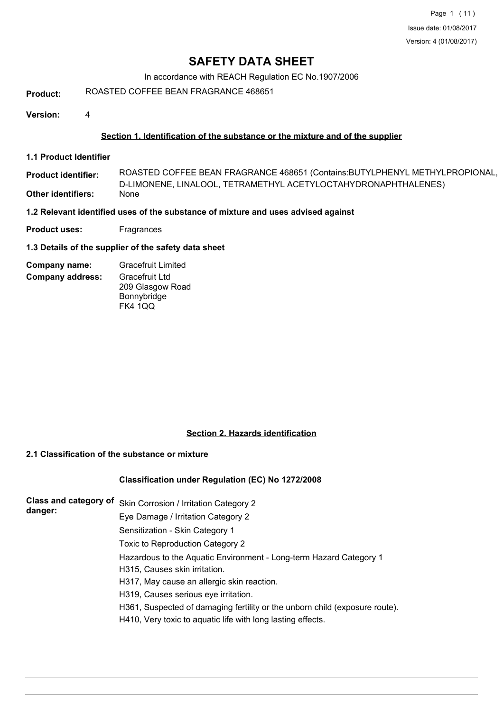In accordance with REACH Regulation EC No.1907/2006

**Product:** ROASTED COFFEE BEAN FRAGRANCE 468651

**Version:** 4

## **Section 1. Identification of the substance or the mixture and of the supplier**

**1.1 Product Identifier**

D-LIMONENE, LINALOOL, TETRAMETHYL ACETYLOCTAHYDRONAPHTHALENES) **Product identifier: Other identifiers:** ROASTED COFFEE BEAN FRAGRANCE 468651 (Contains:BUTYLPHENYL METHYLPROPIONAL,

#### **1.2 Relevant identified uses of the substance of mixture and uses advised against**

**Product uses:** Fragrances

## **1.3 Details of the supplier of the safety data sheet**

| Company name:           | <b>Gracefruit Limited</b> |
|-------------------------|---------------------------|
| <b>Company address:</b> | Gracefruit Ltd            |
|                         | 209 Glasgow Road          |
|                         | Bonnybridge               |
|                         | <b>FK4 1QQ</b>            |

## **Section 2. Hazards identification**

## **2.1 Classification of the substance or mixture**

## **Classification under Regulation (EC) No 1272/2008**

| Class and category of<br>Skin Corrosion / Irritation Category 2             |
|-----------------------------------------------------------------------------|
| Eye Damage / Irritation Category 2                                          |
| Sensitization - Skin Category 1                                             |
| Toxic to Reproduction Category 2                                            |
| Hazardous to the Aquatic Environment - Long-term Hazard Category 1          |
| H315, Causes skin irritation.                                               |
| H317, May cause an allergic skin reaction.                                  |
| H319, Causes serious eye irritation.                                        |
| H361, Suspected of damaging fertility or the unborn child (exposure route). |
| H410, Very toxic to aquatic life with long lasting effects.                 |
|                                                                             |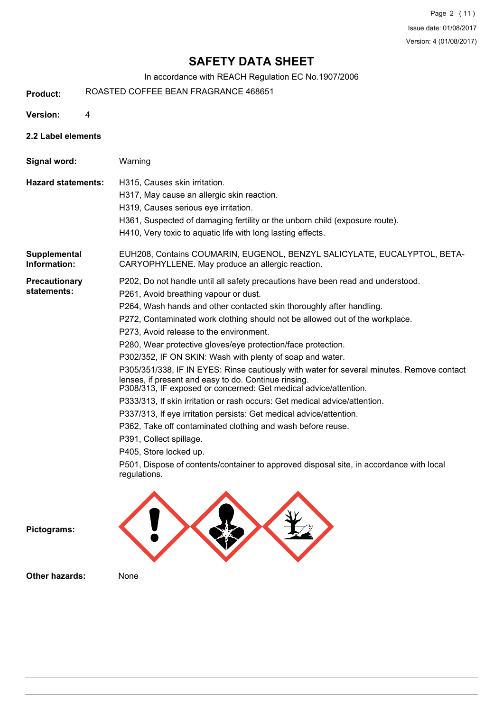In accordance with REACH Regulation EC No.1907/2006

**Product:** ROASTED COFFEE BEAN FRAGRANCE 468651

**Version:** 4

- 
- **2.2 Label elements**

**Signal word:** Warning

**Hazard statements:** H315, Causes skin irritation.

- H317, May cause an allergic skin reaction.
- H319, Causes serious eye irritation.
- H361, Suspected of damaging fertility or the unborn child (exposure route).
- H410, Very toxic to aquatic life with long lasting effects.

EUH208, Contains COUMARIN, EUGENOL, BENZYL SALICYLATE, EUCALYPTOL, BETA-CARYOPHYLLENE. May produce an allergic reaction. **Supplemental Information:**

**Precautionary statements:**

P202, Do not handle until all safety precautions have been read and understood.

- P261, Avoid breathing vapour or dust.
	- P264, Wash hands and other contacted skin thoroughly after handling.
	- P272, Contaminated work clothing should not be allowed out of the workplace.
	- P273, Avoid release to the environment.
	- P280, Wear protective gloves/eye protection/face protection.
	- P302/352, IF ON SKIN: Wash with plenty of soap and water.

P305/351/338, IF IN EYES: Rinse cautiously with water for several minutes. Remove contact lenses, if present and easy to do. Continue rinsing.

P308/313, IF exposed or concerned: Get medical advice/attention.

- P333/313, If skin irritation or rash occurs: Get medical advice/attention.
- P337/313, If eye irritation persists: Get medical advice/attention.

P362, Take off contaminated clothing and wash before reuse.

- P391, Collect spillage.
- P405, Store locked up.

P501, Dispose of contents/container to approved disposal site, in accordance with local regulations.





**Other hazards:** None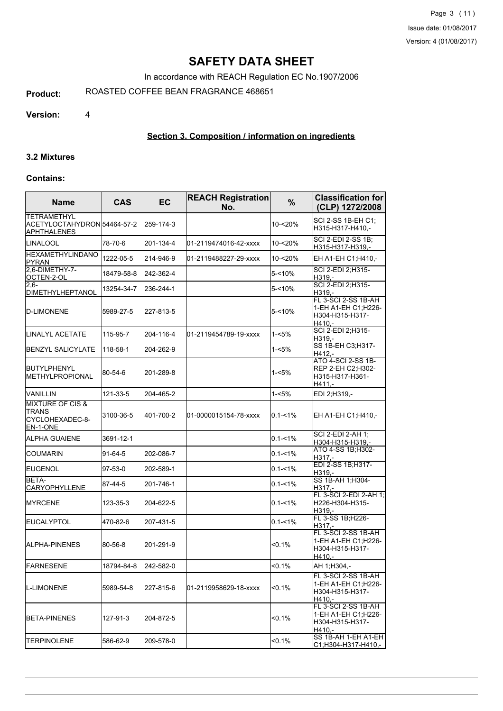In accordance with REACH Regulation EC No.1907/2006

**Product:** ROASTED COFFEE BEAN FRAGRANCE 468651

**Version:** 4

## **Section 3. Composition / information on ingredients**

#### **3.2 Mixtures**

#### **Contains:**

| <b>Name</b>                                                                | <b>CAS</b> | EC        | <b>REACH Registration</b><br>No. | $\%$        | <b>Classification for</b><br>(CLP) 1272/2008                              |
|----------------------------------------------------------------------------|------------|-----------|----------------------------------|-------------|---------------------------------------------------------------------------|
| <b>TETRAMETHYL</b><br> ACETYLOCTAHYDRON 54464-57-2<br><b>JAPHTHALENES</b>  |            | 259-174-3 |                                  | 10-<20%     | SCI 2-SS 1B-EH C1:<br>H315-H317-H410,-                                    |
| <b>LINALOOL</b>                                                            | 78-70-6    | 201-134-4 | 01-2119474016-42-xxxx            | 10-<20%     | <b>SCI 2-EDI 2-SS 1B:</b><br>H315-H317-H319,-                             |
| <b>HEXAMETHYLINDANO</b><br> PYRAN                                          | 1222-05-5  | 214-946-9 | 01-2119488227-29-xxxx            | 10-<20%     | EH A1-EH C1;H410,-                                                        |
| 2,6-DIMETHY-7-<br>OCTEN-2-OL                                               | 18479-58-8 | 242-362-4 |                                  | 5-<10%      | SCI 2-EDI 2;H315-<br>H319,-                                               |
| $2.6 -$<br>DIMETHYLHEPTANOL                                                | 13254-34-7 | 236-244-1 |                                  | 5-<10%      | SCI 2-EDI 2; H315-<br>H319.-                                              |
| D-LIMONENE                                                                 | 5989-27-5  | 227-813-5 |                                  | $5 - 10%$   | FL 3-SCI 2-SS 1B-AH<br>1-EH A1-EH C1;H226-<br>H304-H315-H317-<br>IH410.-  |
| ILINALYL ACETATE                                                           | 115-95-7   | 204-116-4 | l01-2119454789-19-xxxx           | 1-<5%       | SCI 2-EDI 2; H315-<br>H319,-                                              |
| BENZYL SALICYLATE                                                          | 118-58-1   | 204-262-9 |                                  | 1-<5%       | SS 1B-EH C3; H317-<br>H412.-                                              |
| <b>BUTYLPHENYL</b><br>IMETHYLPROPIONAL                                     | 80-54-6    | 201-289-8 |                                  | 1-<5%       | ATO 4-SCI 2-SS 1B-<br>REP 2-EH C2:H302-<br>IH315-H317-H361-<br>H411,-     |
| <b>VANILLIN</b>                                                            | 121-33-5   | 204-465-2 |                                  | $1 - 5%$    | EDI 2;H319,-                                                              |
| <b>MIXTURE OF CIS &amp;</b><br><b>TRANS</b><br>CYCLOHEXADEC-8-<br>EN-1-ONE | 3100-36-5  | 401-700-2 | 01-0000015154-78-xxxx            | $0.1 - 1\%$ | EH A1-EH C1;H410,-                                                        |
| ALPHA GUAIENE                                                              | 3691-12-1  |           |                                  | $0.1 - 1\%$ | <b>SCI 2-EDI 2-AH 1:</b><br>H304-H315-H319,-                              |
| ICOUMARIN                                                                  | 91-64-5    | 202-086-7 |                                  | $0.1 - 1\%$ | <b>ATO 4-SS 1B; H302-</b><br>H317,-                                       |
| <b>I</b> EUGENOL                                                           | 97-53-0    | 202-589-1 |                                  | $0.1 - 1\%$ | EDI 2-SS 1B;H317-<br>H319,-                                               |
| BETA-<br><b>CARYOPHYLLENE</b>                                              | 87-44-5    | 201-746-1 |                                  | $0.1 - 1\%$ | SS 1B-AH 1; H304-<br>H <sub>317</sub> ,-                                  |
| IMYRCENE                                                                   | 123-35-3   | 204-622-5 |                                  | $0.1 - 1%$  | FL 3-SCI 2-EDI 2-AH 1;<br>H226-H304-H315-<br>H319.-                       |
| <b>IEUCALYPTOL</b>                                                         | 470-82-6   | 207-431-5 |                                  | $0.1 - 1\%$ | FL 3-SS 1B;H226-<br>H317.-                                                |
| ALPHA-PINENES                                                              | 80-56-8    | 201-291-9 |                                  | $< 0.1\%$   | FL 3-SCI 2-SS 1B-AH<br>1-EH A1-EH C1;H226-<br>H304-H315-H317-<br>H410.-   |
| <b>FARNESENE</b>                                                           | 18794-84-8 | 242-582-0 |                                  | < 0.1%      | AH 1;H304,-                                                               |
| <b>IL-LIMONENE</b>                                                         | 5989-54-8  | 227-815-6 | l01-2119958629-18-xxxx           | $< 0.1\%$   | FL 3-SCI 2-SS 1B-AH<br>1-EH A1-EH C1:H226-<br>H304-H315-H317-<br>H410,-   |
| <b>I</b> BETA-PINENES                                                      | 127-91-3   | 204-872-5 |                                  | <0.1%       | FL 3-SCI 2-SS 1B-AH<br> 1-EH A1-EH C1;H226-<br>IH304-H315-H317-<br>H410,- |
| <b>ITERPINOLENE</b>                                                        | 586-62-9   | 209-578-0 |                                  | $< 0.1\%$   | SS 1B-AH 1-EH A1-EH<br>C1;H304-H317-H410,-                                |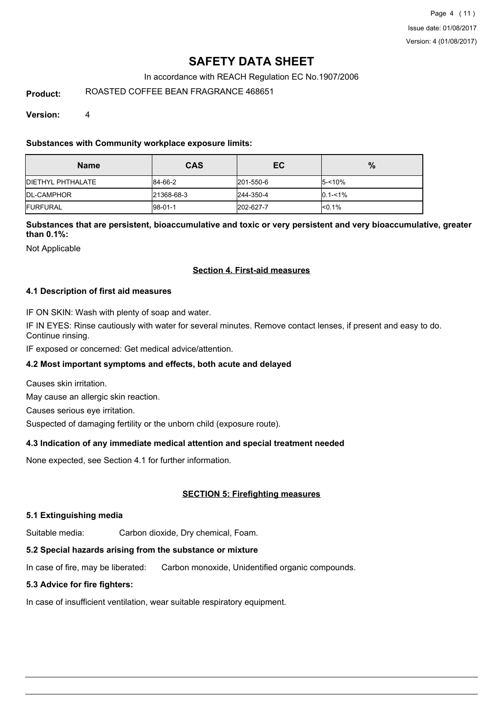Page 4 (11) Issue date: 01/08/2017 Version: 4 (01/08/2017)

## **SAFETY DATA SHEET**

In accordance with REACH Regulation EC No.1907/2006

**Product:** ROASTED COFFEE BEAN FRAGRANCE 468651

**Version:** 4

**Substances with Community workplace exposure limits:**

| <b>Name</b>               | <b>CAS</b> | EC        | $\%$        |
|---------------------------|------------|-----------|-------------|
| <b>IDIETHYL PHTHALATE</b> | 84-66-2    | 201-550-6 | $5 - 10%$   |
| <b>IDL-CAMPHOR</b>        | 21368-68-3 | 244-350-4 | $0.1 - 1\%$ |
| <b>IFURFURAL</b>          | $ 98-01-1$ | 202-627-7 | $< 0.1\%$   |

**Substances that are persistent, bioaccumulative and toxic or very persistent and very bioaccumulative, greater than 0.1%:**

Not Applicable

## **Section 4. First-aid measures**

## **4.1 Description of first aid measures**

IF ON SKIN: Wash with plenty of soap and water.

IF IN EYES: Rinse cautiously with water for several minutes. Remove contact lenses, if present and easy to do. Continue rinsing.

IF exposed or concerned: Get medical advice/attention.

## **4.2 Most important symptoms and effects, both acute and delayed**

Causes skin irritation.

May cause an allergic skin reaction.

Causes serious eye irritation.

Suspected of damaging fertility or the unborn child (exposure route).

## **4.3 Indication of any immediate medical attention and special treatment needed**

None expected, see Section 4.1 for further information.

## **SECTION 5: Firefighting measures**

## **5.1 Extinguishing media**

Suitable media: Carbon dioxide, Dry chemical, Foam.

## **5.2 Special hazards arising from the substance or mixture**

In case of fire, may be liberated: Carbon monoxide, Unidentified organic compounds.

## **5.3 Advice for fire fighters:**

In case of insufficient ventilation, wear suitable respiratory equipment.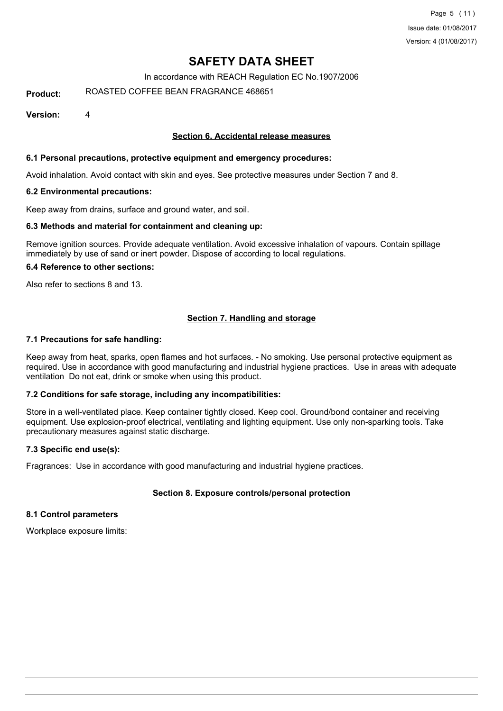In accordance with REACH Regulation EC No.1907/2006

**Product:** ROASTED COFFEE BEAN FRAGRANCE 468651

**Version:** 4

## **Section 6. Accidental release measures**

## **6.1 Personal precautions, protective equipment and emergency procedures:**

Avoid inhalation. Avoid contact with skin and eyes. See protective measures under Section 7 and 8.

#### **6.2 Environmental precautions:**

Keep away from drains, surface and ground water, and soil.

#### **6.3 Methods and material for containment and cleaning up:**

Remove ignition sources. Provide adequate ventilation. Avoid excessive inhalation of vapours. Contain spillage immediately by use of sand or inert powder. Dispose of according to local regulations.

## **6.4 Reference to other sections:**

Also refer to sections 8 and 13.

## **Section 7. Handling and storage**

#### **7.1 Precautions for safe handling:**

Keep away from heat, sparks, open flames and hot surfaces. - No smoking. Use personal protective equipment as required. Use in accordance with good manufacturing and industrial hygiene practices. Use in areas with adequate ventilation Do not eat, drink or smoke when using this product.

## **7.2 Conditions for safe storage, including any incompatibilities:**

Store in a well-ventilated place. Keep container tightly closed. Keep cool. Ground/bond container and receiving equipment. Use explosion-proof electrical, ventilating and lighting equipment. Use only non-sparking tools. Take precautionary measures against static discharge.

## **7.3 Specific end use(s):**

Fragrances: Use in accordance with good manufacturing and industrial hygiene practices.

## **Section 8. Exposure controls/personal protection**

#### **8.1 Control parameters**

Workplace exposure limits: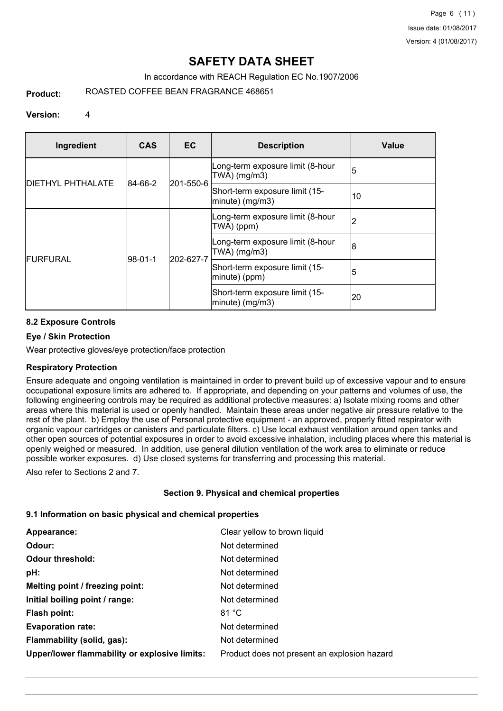Page 6 (11) Issue date: 01/08/2017 Version: 4 (01/08/2017)

## **SAFETY DATA SHEET**

## In accordance with REACH Regulation EC No.1907/2006

**Product:** ROASTED COFFEE BEAN FRAGRANCE 468651

## **Version:** 4

| Ingredient                | <b>CAS</b>  | <b>EC</b> | <b>Description</b>                                   | Value |
|---------------------------|-------------|-----------|------------------------------------------------------|-------|
|                           |             |           | Long-term exposure limit (8-hour<br>TWA) (mg/m3)     | 5     |
| <b>IDIETHYL PHTHALATE</b> | 84-66-2     | 201-550-6 | Short-term exposure limit (15-<br>$ minute)$ (mg/m3) | 10    |
| FURFURAL                  |             | 202-627-7 | Long-term exposure limit (8-hour<br>TWA) (ppm)       | 12    |
|                           | $ 98-01-1 $ |           | Long-term exposure limit (8-hour<br>TWA) (mg/m3)     | 8     |
|                           |             |           | Short-term exposure limit (15-<br>minute) (ppm)      | 15    |
|                           |             |           | Short-term exposure limit (15-<br>$ minute)$ (mg/m3) | 20    |

## **8.2 Exposure Controls**

## **Eye / Skin Protection**

Wear protective gloves/eye protection/face protection

## **Respiratory Protection**

Ensure adequate and ongoing ventilation is maintained in order to prevent build up of excessive vapour and to ensure occupational exposure limits are adhered to. If appropriate, and depending on your patterns and volumes of use, the following engineering controls may be required as additional protective measures: a) Isolate mixing rooms and other areas where this material is used or openly handled. Maintain these areas under negative air pressure relative to the rest of the plant. b) Employ the use of Personal protective equipment - an approved, properly fitted respirator with organic vapour cartridges or canisters and particulate filters. c) Use local exhaust ventilation around open tanks and other open sources of potential exposures in order to avoid excessive inhalation, including places where this material is openly weighed or measured. In addition, use general dilution ventilation of the work area to eliminate or reduce possible worker exposures. d) Use closed systems for transferring and processing this material.

Also refer to Sections 2 and 7.

## **Section 9. Physical and chemical properties**

## **9.1 Information on basic physical and chemical properties**

| Appearance:                                   | Clear yellow to brown liquid                 |
|-----------------------------------------------|----------------------------------------------|
| Odour:                                        | Not determined                               |
| <b>Odour threshold:</b>                       | Not determined                               |
| pH:                                           | Not determined                               |
| Melting point / freezing point:               | Not determined                               |
| Initial boiling point / range:                | Not determined                               |
| Flash point:                                  | 81 °C                                        |
| <b>Evaporation rate:</b>                      | Not determined                               |
| Flammability (solid, gas):                    | Not determined                               |
| Upper/lower flammability or explosive limits: | Product does not present an explosion hazard |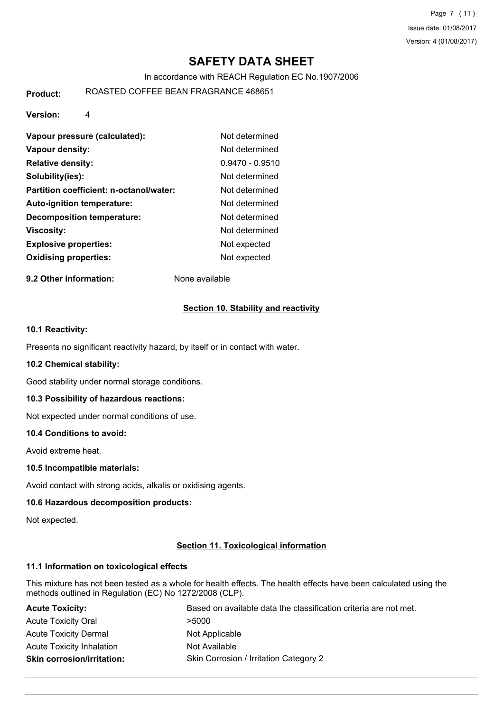Page 7 (11) Issue date: 01/08/2017 Version: 4 (01/08/2017)

## **SAFETY DATA SHEET**

In accordance with REACH Regulation EC No.1907/2006

**Product:** ROASTED COFFEE BEAN FRAGRANCE 468651

**Version:** 4

| Vapour pressure (calculated):           | Not determined    |
|-----------------------------------------|-------------------|
| Vapour density:                         | Not determined    |
| <b>Relative density:</b>                | $0.9470 - 0.9510$ |
| Solubility(ies):                        | Not determined    |
| Partition coefficient: n-octanol/water: | Not determined    |
| <b>Auto-ignition temperature:</b>       | Not determined    |
| Decomposition temperature:              | Not determined    |
| Viscosity:                              | Not determined    |
| <b>Explosive properties:</b>            | Not expected      |
| <b>Oxidising properties:</b>            | Not expected      |

**9.2 Other information:** None available

## **Section 10. Stability and reactivity**

## **10.1 Reactivity:**

Presents no significant reactivity hazard, by itself or in contact with water.

## **10.2 Chemical stability:**

Good stability under normal storage conditions.

## **10.3 Possibility of hazardous reactions:**

Not expected under normal conditions of use.

## **10.4 Conditions to avoid:**

Avoid extreme heat.

## **10.5 Incompatible materials:**

Avoid contact with strong acids, alkalis or oxidising agents.

## **10.6 Hazardous decomposition products:**

Not expected.

## **Section 11. Toxicological information**

## **11.1 Information on toxicological effects**

This mixture has not been tested as a whole for health effects. The health effects have been calculated using the methods outlined in Regulation (EC) No 1272/2008 (CLP).

| <b>Acute Toxicity:</b>            | Based on available data the classification criteria are not met. |
|-----------------------------------|------------------------------------------------------------------|
| <b>Acute Toxicity Oral</b>        | >5000                                                            |
| <b>Acute Toxicity Dermal</b>      | Not Applicable                                                   |
| <b>Acute Toxicity Inhalation</b>  | Not Available                                                    |
| <b>Skin corrosion/irritation:</b> | Skin Corrosion / Irritation Category 2                           |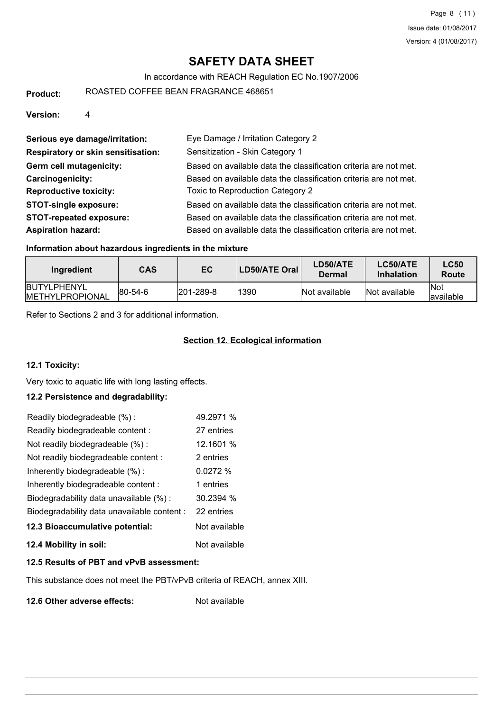#### In accordance with REACH Regulation EC No.1907/2006

**Product:** ROASTED COFFEE BEAN FRAGRANCE 468651

**Version:** 4

| Serious eye damage/irritation:     | Eye Damage / Irritation Category 2                               |
|------------------------------------|------------------------------------------------------------------|
| Respiratory or skin sensitisation: | Sensitization - Skin Category 1                                  |
| Germ cell mutagenicity:            | Based on available data the classification criteria are not met. |
| Carcinogenicity:                   | Based on available data the classification criteria are not met. |
| <b>Reproductive toxicity:</b>      | Toxic to Reproduction Category 2                                 |
| <b>STOT-single exposure:</b>       | Based on available data the classification criteria are not met. |
| <b>STOT-repeated exposure:</b>     | Based on available data the classification criteria are not met. |
| <b>Aspiration hazard:</b>          | Based on available data the classification criteria are not met. |

## **Information about hazardous ingredients in the mixture**

| Ingredient                                    | <b>CAS</b>      | EC                | <b>LD50/ATE Oral</b> | LD50/ATE<br>Dermal | LC50/ATE<br><b>Inhalation</b> | <b>LC50</b><br>Route      |
|-----------------------------------------------|-----------------|-------------------|----------------------|--------------------|-------------------------------|---------------------------|
| <b>BUTYLPHENYL</b><br><b>IMETHYLPROPIONAL</b> | $ 80 - 54 - 6 $ | $ 201 - 289 - 8 $ | 1390                 | Not available      | Not available                 | <b>INot</b><br>lavailable |

Refer to Sections 2 and 3 for additional information.

## **Section 12. Ecological information**

## **12.1 Toxicity:**

Very toxic to aquatic life with long lasting effects.

## **12.2 Persistence and degradability:**

| Readily biodegradeable (%):                 | 49.2971 %     |
|---------------------------------------------|---------------|
| Readily biodegradeable content :            | 27 entries    |
| Not readily biodegradeable (%):             | 12.1601 %     |
| Not readily biodegradeable content :        | 2 entries     |
| Inherently biodegradeable (%):              | 0.0272%       |
| Inherently biodegradeable content:          | 1 entries     |
| Biodegradability data unavailable (%):      | 30.2394%      |
| Biodegradability data unavailable content : | 22 entries    |
| 12.3 Bioaccumulative potential:             | Not available |
| 12.4 Mobility in soil:                      | Not available |

## **12.5 Results of PBT and vPvB assessment:**

This substance does not meet the PBT/vPvB criteria of REACH, annex XIII.

**12.6 Other adverse effects:** Not available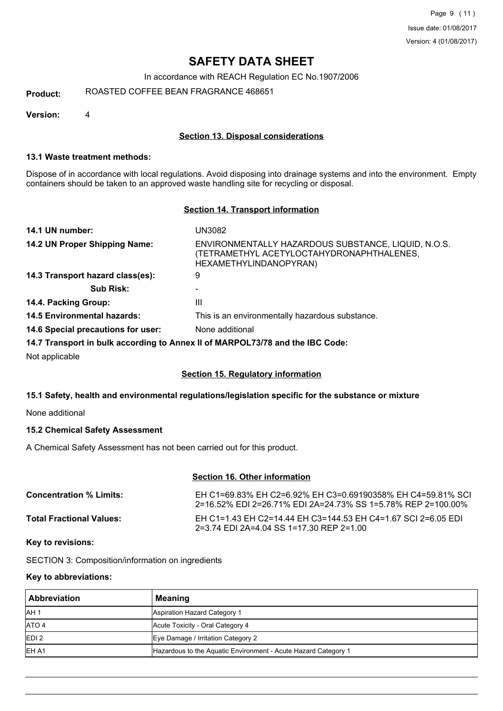In accordance with REACH Regulation EC No.1907/2006

**Product:** ROASTED COFFEE BEAN FRAGRANCE 468651

**Version:** 4

## **Section 13. Disposal considerations**

## **13.1 Waste treatment methods:**

Dispose of in accordance with local regulations. Avoid disposing into drainage systems and into the environment. Empty containers should be taken to an approved waste handling site for recycling or disposal.

#### **Section 14. Transport information**

| 14.1 UN number:                                                               | UN3082                                                                                                                     |
|-------------------------------------------------------------------------------|----------------------------------------------------------------------------------------------------------------------------|
| 14.2 UN Proper Shipping Name:                                                 | ENVIRONMENTALLY HAZARDOUS SUBSTANCE, LIQUID, N.O.S.<br>(TETRAMETHYL ACETYLOCTAHYDRONAPHTHALENES,<br>HEXAMETHYLINDANOPYRAN) |
| 14.3 Transport hazard class(es):                                              | 9                                                                                                                          |
| <b>Sub Risk:</b>                                                              |                                                                                                                            |
| 14.4. Packing Group:                                                          | Ш                                                                                                                          |
| <b>14.5 Environmental hazards:</b>                                            | This is an environmentally hazardous substance.                                                                            |
| 14.6 Special precautions for user:                                            | None additional                                                                                                            |
| 14.7 Transport in bulk according to Annex II of MARPOL73/78 and the IBC Code: |                                                                                                                            |

Not applicable

## **Section 15. Regulatory information**

## **15.1 Safety, health and environmental regulations/legislation specific for the substance or mixture**

None additional

## **15.2 Chemical Safety Assessment**

A Chemical Safety Assessment has not been carried out for this product.

## **Section 16. Other information**

| <b>Concentration % Limits:</b>  | EH C1=69.83% EH C2=6.92% EH C3=0.69190358% EH C4=59.81% SCL<br>2=16.52% EDI 2=26.71% EDI 2A=24.73% SS 1=5.78% REP 2=100.00% |
|---------------------------------|-----------------------------------------------------------------------------------------------------------------------------|
| <b>Total Fractional Values:</b> | EH C1=1.43 EH C2=14.44 EH C3=144.53 EH C4=1.67 SCI 2=6.05 EDI<br>2=3.74 FDI 2A=4.04 SS 1=17.30 RFP 2=1.00                   |

## **Key to revisions:**

SECTION 3: Composition/information on ingredients

## **Key to abbreviations:**

| <b>Abbreviation</b> | Meaning                                                        |
|---------------------|----------------------------------------------------------------|
| <b>JAH1</b>         | Aspiration Hazard Category 1                                   |
| ATO 4               | Acute Toxicity - Oral Category 4                               |
| EDI2                | Eye Damage / Irritation Category 2                             |
| EH A1               | Hazardous to the Aquatic Environment - Acute Hazard Category 1 |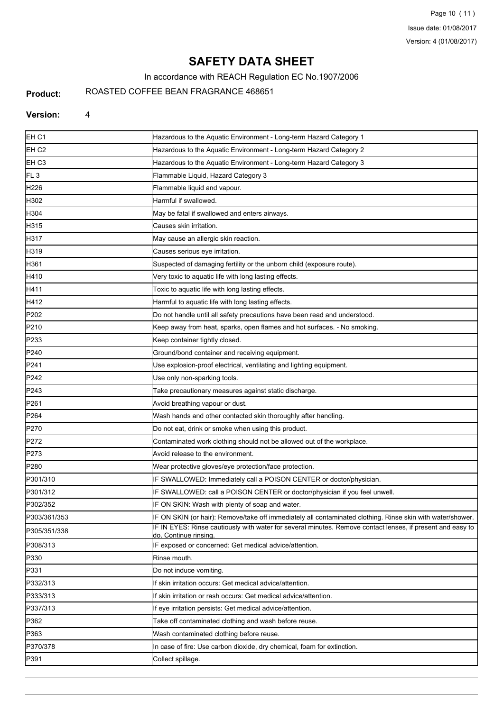Page 10 (11) Issue date: 01/08/2017 Version: 4 (01/08/2017)

# **SAFETY DATA SHEET**

In accordance with REACH Regulation EC No.1907/2006

#### **Product:**

ROASTED COFFEE BEAN FRAGRANCE 468651

#### **Version:** 4

| Hazardous to the Aquatic Environment - Long-term Hazard Category 2<br>Hazardous to the Aquatic Environment - Long-term Hazard Category 3<br>Flammable Liquid, Hazard Category 3<br>Flammable liquid and vapour.<br>Harmful if swallowed.<br>May be fatal if swallowed and enters airways.<br>Causes skin irritation.<br>May cause an allergic skin reaction.<br>Causes serious eye irritation.<br>Suspected of damaging fertility or the unborn child (exposure route).<br>Very toxic to aquatic life with long lasting effects.<br>Toxic to aquatic life with long lasting effects.<br>Harmful to aquatic life with long lasting effects.<br>Do not handle until all safety precautions have been read and understood.<br>Keep away from heat, sparks, open flames and hot surfaces. - No smoking.<br>Keep container tightly closed.<br>Ground/bond container and receiving equipment.<br>Use explosion-proof electrical, ventilating and lighting equipment.<br>Use only non-sparking tools.<br>Take precautionary measures against static discharge.<br>Avoid breathing vapour or dust.<br>Wash hands and other contacted skin thoroughly after handling.<br>Do not eat, drink or smoke when using this product.<br>Contaminated work clothing should not be allowed out of the workplace.<br>Avoid release to the environment.<br>Wear protective gloves/eye protection/face protection.<br>IF SWALLOWED: Immediately call a POISON CENTER or doctor/physician.<br>IF SWALLOWED: call a POISON CENTER or doctor/physician if you feel unwell.<br>IF ON SKIN: Wash with plenty of soap and water.<br>IF ON SKIN (or hair): Remove/take off immediately all contaminated clothing. Rinse skin with water/shower.<br>IF IN EYES: Rinse cautiously with water for several minutes. Remove contact lenses, if present and easy to<br>do. Continue rinsing<br>IF exposed or concerned: Get medical advice/attention.<br>Rinse mouth.<br>Do not induce vomiting.<br>If skin irritation occurs: Get medical advice/attention.<br>If skin irritation or rash occurs: Get medical advice/attention.<br>If eye irritation persists: Get medical advice/attention.<br>Take off contaminated clothing and wash before reuse.<br>Wash contaminated clothing before reuse.<br>In case of fire: Use carbon dioxide, dry chemical, foam for extinction.<br>Collect spillage. | EH <sub>C1</sub>  | Hazardous to the Aquatic Environment - Long-term Hazard Category 1 |
|-----------------------------------------------------------------------------------------------------------------------------------------------------------------------------------------------------------------------------------------------------------------------------------------------------------------------------------------------------------------------------------------------------------------------------------------------------------------------------------------------------------------------------------------------------------------------------------------------------------------------------------------------------------------------------------------------------------------------------------------------------------------------------------------------------------------------------------------------------------------------------------------------------------------------------------------------------------------------------------------------------------------------------------------------------------------------------------------------------------------------------------------------------------------------------------------------------------------------------------------------------------------------------------------------------------------------------------------------------------------------------------------------------------------------------------------------------------------------------------------------------------------------------------------------------------------------------------------------------------------------------------------------------------------------------------------------------------------------------------------------------------------------------------------------------------------------------------------------------------------------------------------------------------------------------------------------------------------------------------------------------------------------------------------------------------------------------------------------------------------------------------------------------------------------------------------------------------------------------------------------------------------------------------------------------------------------------------------------------------------|-------------------|--------------------------------------------------------------------|
|                                                                                                                                                                                                                                                                                                                                                                                                                                                                                                                                                                                                                                                                                                                                                                                                                                                                                                                                                                                                                                                                                                                                                                                                                                                                                                                                                                                                                                                                                                                                                                                                                                                                                                                                                                                                                                                                                                                                                                                                                                                                                                                                                                                                                                                                                                                                                                 | EH C <sub>2</sub> |                                                                    |
|                                                                                                                                                                                                                                                                                                                                                                                                                                                                                                                                                                                                                                                                                                                                                                                                                                                                                                                                                                                                                                                                                                                                                                                                                                                                                                                                                                                                                                                                                                                                                                                                                                                                                                                                                                                                                                                                                                                                                                                                                                                                                                                                                                                                                                                                                                                                                                 | EH C <sub>3</sub> |                                                                    |
|                                                                                                                                                                                                                                                                                                                                                                                                                                                                                                                                                                                                                                                                                                                                                                                                                                                                                                                                                                                                                                                                                                                                                                                                                                                                                                                                                                                                                                                                                                                                                                                                                                                                                                                                                                                                                                                                                                                                                                                                                                                                                                                                                                                                                                                                                                                                                                 | FL <sub>3</sub>   |                                                                    |
|                                                                                                                                                                                                                                                                                                                                                                                                                                                                                                                                                                                                                                                                                                                                                                                                                                                                                                                                                                                                                                                                                                                                                                                                                                                                                                                                                                                                                                                                                                                                                                                                                                                                                                                                                                                                                                                                                                                                                                                                                                                                                                                                                                                                                                                                                                                                                                 | H226              |                                                                    |
|                                                                                                                                                                                                                                                                                                                                                                                                                                                                                                                                                                                                                                                                                                                                                                                                                                                                                                                                                                                                                                                                                                                                                                                                                                                                                                                                                                                                                                                                                                                                                                                                                                                                                                                                                                                                                                                                                                                                                                                                                                                                                                                                                                                                                                                                                                                                                                 | H302              |                                                                    |
|                                                                                                                                                                                                                                                                                                                                                                                                                                                                                                                                                                                                                                                                                                                                                                                                                                                                                                                                                                                                                                                                                                                                                                                                                                                                                                                                                                                                                                                                                                                                                                                                                                                                                                                                                                                                                                                                                                                                                                                                                                                                                                                                                                                                                                                                                                                                                                 | H304              |                                                                    |
|                                                                                                                                                                                                                                                                                                                                                                                                                                                                                                                                                                                                                                                                                                                                                                                                                                                                                                                                                                                                                                                                                                                                                                                                                                                                                                                                                                                                                                                                                                                                                                                                                                                                                                                                                                                                                                                                                                                                                                                                                                                                                                                                                                                                                                                                                                                                                                 | H315              |                                                                    |
|                                                                                                                                                                                                                                                                                                                                                                                                                                                                                                                                                                                                                                                                                                                                                                                                                                                                                                                                                                                                                                                                                                                                                                                                                                                                                                                                                                                                                                                                                                                                                                                                                                                                                                                                                                                                                                                                                                                                                                                                                                                                                                                                                                                                                                                                                                                                                                 | H317              |                                                                    |
|                                                                                                                                                                                                                                                                                                                                                                                                                                                                                                                                                                                                                                                                                                                                                                                                                                                                                                                                                                                                                                                                                                                                                                                                                                                                                                                                                                                                                                                                                                                                                                                                                                                                                                                                                                                                                                                                                                                                                                                                                                                                                                                                                                                                                                                                                                                                                                 | H319              |                                                                    |
|                                                                                                                                                                                                                                                                                                                                                                                                                                                                                                                                                                                                                                                                                                                                                                                                                                                                                                                                                                                                                                                                                                                                                                                                                                                                                                                                                                                                                                                                                                                                                                                                                                                                                                                                                                                                                                                                                                                                                                                                                                                                                                                                                                                                                                                                                                                                                                 | H361              |                                                                    |
|                                                                                                                                                                                                                                                                                                                                                                                                                                                                                                                                                                                                                                                                                                                                                                                                                                                                                                                                                                                                                                                                                                                                                                                                                                                                                                                                                                                                                                                                                                                                                                                                                                                                                                                                                                                                                                                                                                                                                                                                                                                                                                                                                                                                                                                                                                                                                                 | H410              |                                                                    |
|                                                                                                                                                                                                                                                                                                                                                                                                                                                                                                                                                                                                                                                                                                                                                                                                                                                                                                                                                                                                                                                                                                                                                                                                                                                                                                                                                                                                                                                                                                                                                                                                                                                                                                                                                                                                                                                                                                                                                                                                                                                                                                                                                                                                                                                                                                                                                                 | H411              |                                                                    |
|                                                                                                                                                                                                                                                                                                                                                                                                                                                                                                                                                                                                                                                                                                                                                                                                                                                                                                                                                                                                                                                                                                                                                                                                                                                                                                                                                                                                                                                                                                                                                                                                                                                                                                                                                                                                                                                                                                                                                                                                                                                                                                                                                                                                                                                                                                                                                                 | H412              |                                                                    |
|                                                                                                                                                                                                                                                                                                                                                                                                                                                                                                                                                                                                                                                                                                                                                                                                                                                                                                                                                                                                                                                                                                                                                                                                                                                                                                                                                                                                                                                                                                                                                                                                                                                                                                                                                                                                                                                                                                                                                                                                                                                                                                                                                                                                                                                                                                                                                                 | P202              |                                                                    |
|                                                                                                                                                                                                                                                                                                                                                                                                                                                                                                                                                                                                                                                                                                                                                                                                                                                                                                                                                                                                                                                                                                                                                                                                                                                                                                                                                                                                                                                                                                                                                                                                                                                                                                                                                                                                                                                                                                                                                                                                                                                                                                                                                                                                                                                                                                                                                                 | P210              |                                                                    |
|                                                                                                                                                                                                                                                                                                                                                                                                                                                                                                                                                                                                                                                                                                                                                                                                                                                                                                                                                                                                                                                                                                                                                                                                                                                                                                                                                                                                                                                                                                                                                                                                                                                                                                                                                                                                                                                                                                                                                                                                                                                                                                                                                                                                                                                                                                                                                                 | P233              |                                                                    |
|                                                                                                                                                                                                                                                                                                                                                                                                                                                                                                                                                                                                                                                                                                                                                                                                                                                                                                                                                                                                                                                                                                                                                                                                                                                                                                                                                                                                                                                                                                                                                                                                                                                                                                                                                                                                                                                                                                                                                                                                                                                                                                                                                                                                                                                                                                                                                                 | P240              |                                                                    |
|                                                                                                                                                                                                                                                                                                                                                                                                                                                                                                                                                                                                                                                                                                                                                                                                                                                                                                                                                                                                                                                                                                                                                                                                                                                                                                                                                                                                                                                                                                                                                                                                                                                                                                                                                                                                                                                                                                                                                                                                                                                                                                                                                                                                                                                                                                                                                                 | P241              |                                                                    |
|                                                                                                                                                                                                                                                                                                                                                                                                                                                                                                                                                                                                                                                                                                                                                                                                                                                                                                                                                                                                                                                                                                                                                                                                                                                                                                                                                                                                                                                                                                                                                                                                                                                                                                                                                                                                                                                                                                                                                                                                                                                                                                                                                                                                                                                                                                                                                                 | P242              |                                                                    |
|                                                                                                                                                                                                                                                                                                                                                                                                                                                                                                                                                                                                                                                                                                                                                                                                                                                                                                                                                                                                                                                                                                                                                                                                                                                                                                                                                                                                                                                                                                                                                                                                                                                                                                                                                                                                                                                                                                                                                                                                                                                                                                                                                                                                                                                                                                                                                                 | P243              |                                                                    |
|                                                                                                                                                                                                                                                                                                                                                                                                                                                                                                                                                                                                                                                                                                                                                                                                                                                                                                                                                                                                                                                                                                                                                                                                                                                                                                                                                                                                                                                                                                                                                                                                                                                                                                                                                                                                                                                                                                                                                                                                                                                                                                                                                                                                                                                                                                                                                                 | P261              |                                                                    |
|                                                                                                                                                                                                                                                                                                                                                                                                                                                                                                                                                                                                                                                                                                                                                                                                                                                                                                                                                                                                                                                                                                                                                                                                                                                                                                                                                                                                                                                                                                                                                                                                                                                                                                                                                                                                                                                                                                                                                                                                                                                                                                                                                                                                                                                                                                                                                                 | P <sub>264</sub>  |                                                                    |
|                                                                                                                                                                                                                                                                                                                                                                                                                                                                                                                                                                                                                                                                                                                                                                                                                                                                                                                                                                                                                                                                                                                                                                                                                                                                                                                                                                                                                                                                                                                                                                                                                                                                                                                                                                                                                                                                                                                                                                                                                                                                                                                                                                                                                                                                                                                                                                 | P270              |                                                                    |
|                                                                                                                                                                                                                                                                                                                                                                                                                                                                                                                                                                                                                                                                                                                                                                                                                                                                                                                                                                                                                                                                                                                                                                                                                                                                                                                                                                                                                                                                                                                                                                                                                                                                                                                                                                                                                                                                                                                                                                                                                                                                                                                                                                                                                                                                                                                                                                 | P272              |                                                                    |
|                                                                                                                                                                                                                                                                                                                                                                                                                                                                                                                                                                                                                                                                                                                                                                                                                                                                                                                                                                                                                                                                                                                                                                                                                                                                                                                                                                                                                                                                                                                                                                                                                                                                                                                                                                                                                                                                                                                                                                                                                                                                                                                                                                                                                                                                                                                                                                 | P273              |                                                                    |
|                                                                                                                                                                                                                                                                                                                                                                                                                                                                                                                                                                                                                                                                                                                                                                                                                                                                                                                                                                                                                                                                                                                                                                                                                                                                                                                                                                                                                                                                                                                                                                                                                                                                                                                                                                                                                                                                                                                                                                                                                                                                                                                                                                                                                                                                                                                                                                 | P280              |                                                                    |
|                                                                                                                                                                                                                                                                                                                                                                                                                                                                                                                                                                                                                                                                                                                                                                                                                                                                                                                                                                                                                                                                                                                                                                                                                                                                                                                                                                                                                                                                                                                                                                                                                                                                                                                                                                                                                                                                                                                                                                                                                                                                                                                                                                                                                                                                                                                                                                 | P301/310          |                                                                    |
|                                                                                                                                                                                                                                                                                                                                                                                                                                                                                                                                                                                                                                                                                                                                                                                                                                                                                                                                                                                                                                                                                                                                                                                                                                                                                                                                                                                                                                                                                                                                                                                                                                                                                                                                                                                                                                                                                                                                                                                                                                                                                                                                                                                                                                                                                                                                                                 | P301/312          |                                                                    |
|                                                                                                                                                                                                                                                                                                                                                                                                                                                                                                                                                                                                                                                                                                                                                                                                                                                                                                                                                                                                                                                                                                                                                                                                                                                                                                                                                                                                                                                                                                                                                                                                                                                                                                                                                                                                                                                                                                                                                                                                                                                                                                                                                                                                                                                                                                                                                                 | P302/352          |                                                                    |
|                                                                                                                                                                                                                                                                                                                                                                                                                                                                                                                                                                                                                                                                                                                                                                                                                                                                                                                                                                                                                                                                                                                                                                                                                                                                                                                                                                                                                                                                                                                                                                                                                                                                                                                                                                                                                                                                                                                                                                                                                                                                                                                                                                                                                                                                                                                                                                 | P303/361/353      |                                                                    |
|                                                                                                                                                                                                                                                                                                                                                                                                                                                                                                                                                                                                                                                                                                                                                                                                                                                                                                                                                                                                                                                                                                                                                                                                                                                                                                                                                                                                                                                                                                                                                                                                                                                                                                                                                                                                                                                                                                                                                                                                                                                                                                                                                                                                                                                                                                                                                                 | P305/351/338      |                                                                    |
|                                                                                                                                                                                                                                                                                                                                                                                                                                                                                                                                                                                                                                                                                                                                                                                                                                                                                                                                                                                                                                                                                                                                                                                                                                                                                                                                                                                                                                                                                                                                                                                                                                                                                                                                                                                                                                                                                                                                                                                                                                                                                                                                                                                                                                                                                                                                                                 | P308/313          |                                                                    |
|                                                                                                                                                                                                                                                                                                                                                                                                                                                                                                                                                                                                                                                                                                                                                                                                                                                                                                                                                                                                                                                                                                                                                                                                                                                                                                                                                                                                                                                                                                                                                                                                                                                                                                                                                                                                                                                                                                                                                                                                                                                                                                                                                                                                                                                                                                                                                                 | P330              |                                                                    |
|                                                                                                                                                                                                                                                                                                                                                                                                                                                                                                                                                                                                                                                                                                                                                                                                                                                                                                                                                                                                                                                                                                                                                                                                                                                                                                                                                                                                                                                                                                                                                                                                                                                                                                                                                                                                                                                                                                                                                                                                                                                                                                                                                                                                                                                                                                                                                                 | P331              |                                                                    |
|                                                                                                                                                                                                                                                                                                                                                                                                                                                                                                                                                                                                                                                                                                                                                                                                                                                                                                                                                                                                                                                                                                                                                                                                                                                                                                                                                                                                                                                                                                                                                                                                                                                                                                                                                                                                                                                                                                                                                                                                                                                                                                                                                                                                                                                                                                                                                                 | P332/313          |                                                                    |
|                                                                                                                                                                                                                                                                                                                                                                                                                                                                                                                                                                                                                                                                                                                                                                                                                                                                                                                                                                                                                                                                                                                                                                                                                                                                                                                                                                                                                                                                                                                                                                                                                                                                                                                                                                                                                                                                                                                                                                                                                                                                                                                                                                                                                                                                                                                                                                 | P333/313          |                                                                    |
|                                                                                                                                                                                                                                                                                                                                                                                                                                                                                                                                                                                                                                                                                                                                                                                                                                                                                                                                                                                                                                                                                                                                                                                                                                                                                                                                                                                                                                                                                                                                                                                                                                                                                                                                                                                                                                                                                                                                                                                                                                                                                                                                                                                                                                                                                                                                                                 | P337/313          |                                                                    |
|                                                                                                                                                                                                                                                                                                                                                                                                                                                                                                                                                                                                                                                                                                                                                                                                                                                                                                                                                                                                                                                                                                                                                                                                                                                                                                                                                                                                                                                                                                                                                                                                                                                                                                                                                                                                                                                                                                                                                                                                                                                                                                                                                                                                                                                                                                                                                                 | P362              |                                                                    |
|                                                                                                                                                                                                                                                                                                                                                                                                                                                                                                                                                                                                                                                                                                                                                                                                                                                                                                                                                                                                                                                                                                                                                                                                                                                                                                                                                                                                                                                                                                                                                                                                                                                                                                                                                                                                                                                                                                                                                                                                                                                                                                                                                                                                                                                                                                                                                                 | P363              |                                                                    |
|                                                                                                                                                                                                                                                                                                                                                                                                                                                                                                                                                                                                                                                                                                                                                                                                                                                                                                                                                                                                                                                                                                                                                                                                                                                                                                                                                                                                                                                                                                                                                                                                                                                                                                                                                                                                                                                                                                                                                                                                                                                                                                                                                                                                                                                                                                                                                                 | P370/378          |                                                                    |
|                                                                                                                                                                                                                                                                                                                                                                                                                                                                                                                                                                                                                                                                                                                                                                                                                                                                                                                                                                                                                                                                                                                                                                                                                                                                                                                                                                                                                                                                                                                                                                                                                                                                                                                                                                                                                                                                                                                                                                                                                                                                                                                                                                                                                                                                                                                                                                 | P391              |                                                                    |